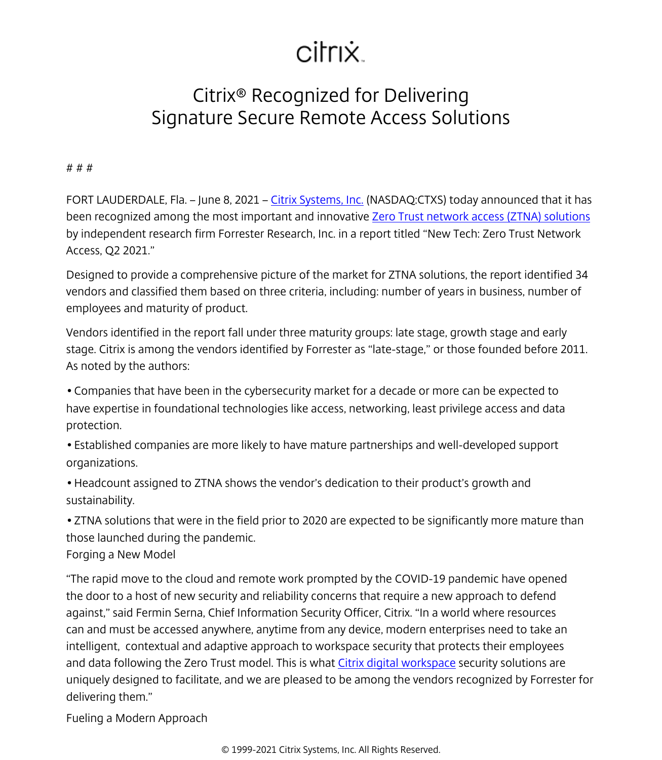## citrix.

## Citrix® Recognized for Delivering Signature Secure Remote Access Solutions

# # #

FORT LAUDERDALE, Fla. – June 8, 2021 – [Citrix Systems, Inc.](/content/citrix/ja-jp/
            .html) (NASDAQ:CTXS) today announced that it has been recognized among the most important and innovative [Zero Trust network access \(ZTNA\) solutions](/content/citrix/ja-jp/solutions/secure-access/
            .html) by independent research firm Forrester Research, Inc. in a report titled "New Tech: Zero Trust Network Access, Q2 2021."

Designed to provide a comprehensive picture of the market for ZTNA solutions, the report identified 34 vendors and classified them based on three criteria, including: number of years in business, number of employees and maturity of product.

Vendors identified in the report fall under three maturity groups: late stage, growth stage and early stage. Citrix is among the vendors identified by Forrester as "late-stage," or those founded before 2011. As noted by the authors:

• Companies that have been in the cybersecurity market for a decade or more can be expected to have expertise in foundational technologies like access, networking, least privilege access and data protection.

• Established companies are more likely to have mature partnerships and well-developed support organizations.

• Headcount assigned to ZTNA shows the vendor's dedication to their product's growth and sustainability.

• ZTNA solutions that were in the field prior to 2020 are expected to be significantly more mature than those launched during the pandemic.

Forging a New Model

"The rapid move to the cloud and remote work prompted by the COVID-19 pandemic have opened the door to a host of new security and reliability concerns that require a new approach to defend against," said Fermin Serna, Chief Information Security Officer, Citrix. "In a world where resources can and must be accessed anywhere, anytime from any device, modern enterprises need to take an intelligent, contextual and adaptive approach to workspace security that protects their employees and data following the Zero Trust model. This is what [Citrix digital workspace](/content/citrix/ja-jp/products/citrix-workspace/
            .html) security solutions are uniquely designed to facilitate, and we are pleased to be among the vendors recognized by Forrester for delivering them."

Fueling a Modern Approach